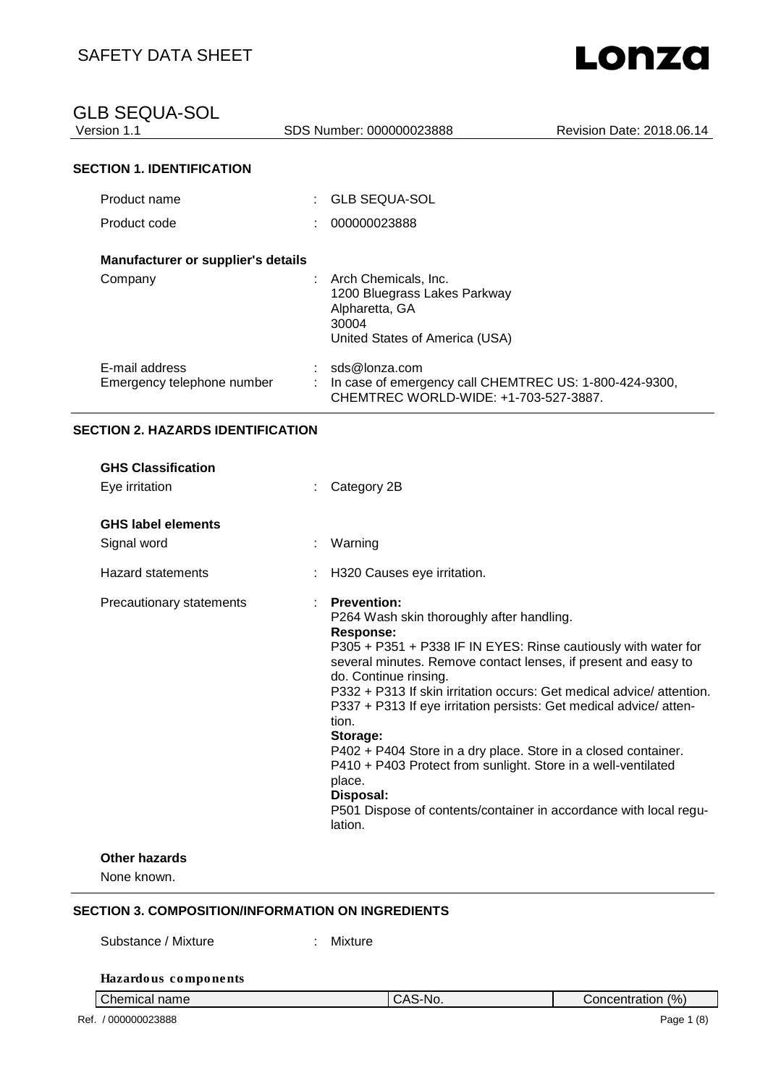SDS Number: 000000023888 Revision Date: 2018.06.14

#### **SECTION 1. IDENTIFICATION**

| Product name                                 | : GLB SEQUA-SOL                                                                                                   |
|----------------------------------------------|-------------------------------------------------------------------------------------------------------------------|
| Product code                                 | 000000023888                                                                                                      |
| Manufacturer or supplier's details           |                                                                                                                   |
| Company                                      | Arch Chemicals, Inc.<br>1200 Bluegrass Lakes Parkway<br>Alpharetta, GA<br>30004<br>United States of America (USA) |
| E-mail address<br>Emergency telephone number | sds@lonza.com<br>In case of emergency call CHEMTREC US: 1-800-424-9300,<br>CHEMTREC WORLD-WIDE: +1-703-527-3887.  |

#### **SECTION 2. HAZARDS IDENTIFICATION**

| <b>GHS Classification</b><br>Eye irritation | Category 2B                                                                                                                                                                                                                                                                                                                                                                                                                                                                                                                                                                                                                                             |
|---------------------------------------------|---------------------------------------------------------------------------------------------------------------------------------------------------------------------------------------------------------------------------------------------------------------------------------------------------------------------------------------------------------------------------------------------------------------------------------------------------------------------------------------------------------------------------------------------------------------------------------------------------------------------------------------------------------|
| <b>GHS label elements</b><br>Signal word    | Warning<br>t.                                                                                                                                                                                                                                                                                                                                                                                                                                                                                                                                                                                                                                           |
| <b>Hazard statements</b>                    | H320 Causes eye irritation.                                                                                                                                                                                                                                                                                                                                                                                                                                                                                                                                                                                                                             |
| Precautionary statements                    | <b>Prevention:</b><br>P264 Wash skin thoroughly after handling.<br>Response:<br>P305 + P351 + P338 IF IN EYES: Rinse cautiously with water for<br>several minutes. Remove contact lenses, if present and easy to<br>do. Continue rinsing.<br>P332 + P313 If skin irritation occurs: Get medical advice/ attention.<br>P337 + P313 If eye irritation persists: Get medical advice/ atten-<br>tion.<br>Storage:<br>P402 + P404 Store in a dry place. Store in a closed container.<br>P410 + P403 Protect from sunlight. Store in a well-ventilated<br>place.<br>Disposal:<br>P501 Dispose of contents/container in accordance with local regu-<br>lation. |
| <b>Other hazards</b><br>None known.         |                                                                                                                                                                                                                                                                                                                                                                                                                                                                                                                                                                                                                                                         |

#### **SECTION 3. COMPOSITION/INFORMATION ON INGREDIENTS**

Substance / Mixture : Mixture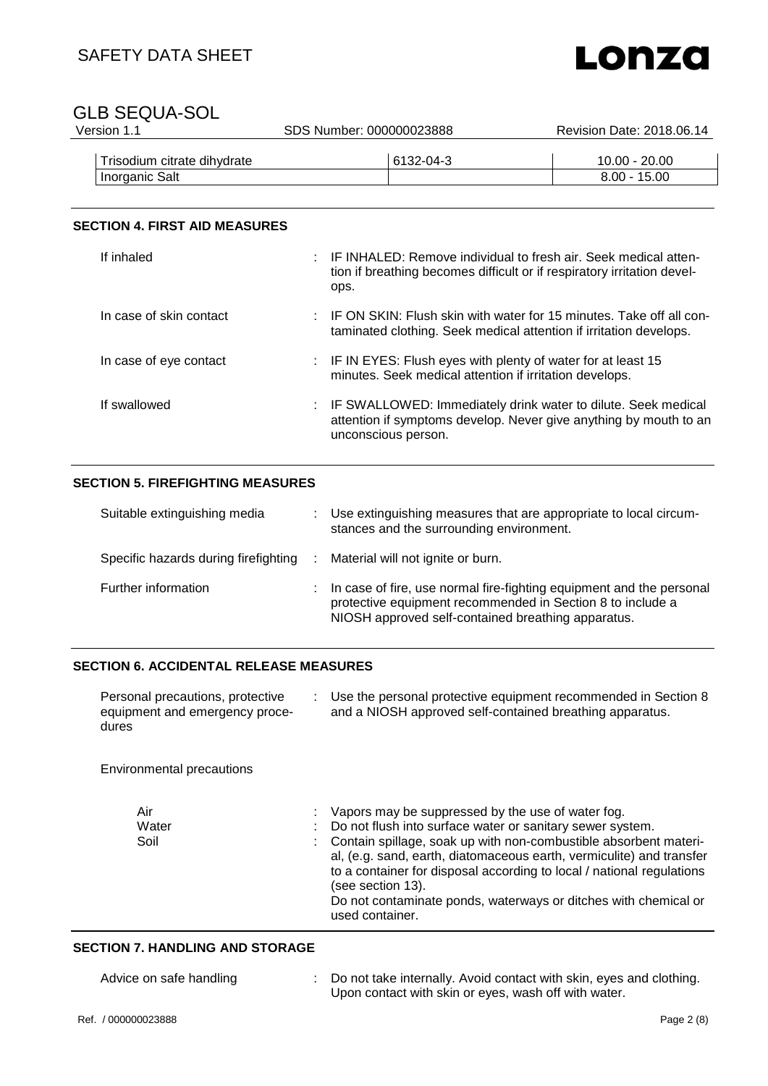

| Version 1.1                 | SDS Number: 000000023888 | Revision Date: 2018.06.14 |
|-----------------------------|--------------------------|---------------------------|
| Trisodium citrate dihydrate | 6132-04-3                | $10.00 - 20.00$           |
| Inorganic Salt              |                          | $8.00 - 15.00$            |
|                             |                          |                           |

#### **SECTION 4. FIRST AID MEASURES**

| If inhaled              | ops. | : IF INHALED: Remove individual to fresh air. Seek medical atten-<br>tion if breathing becomes difficult or if respiratory irritation devel-                |
|-------------------------|------|-------------------------------------------------------------------------------------------------------------------------------------------------------------|
| In case of skin contact |      | : IF ON SKIN: Flush skin with water for 15 minutes. Take off all con-<br>taminated clothing. Seek medical attention if irritation develops.                 |
| In case of eye contact  |      | : IF IN EYES: Flush eyes with plenty of water for at least 15<br>minutes. Seek medical attention if irritation develops.                                    |
| If swallowed            |      | : IF SWALLOWED: Immediately drink water to dilute. Seek medical<br>attention if symptoms develop. Never give anything by mouth to an<br>unconscious person. |

#### **SECTION 5. FIREFIGHTING MEASURES**

| Suitable extinguishing media         | Use extinguishing measures that are appropriate to local circum-<br>stances and the surrounding environment.                                                                             |
|--------------------------------------|------------------------------------------------------------------------------------------------------------------------------------------------------------------------------------------|
| Specific hazards during firefighting | Material will not ignite or burn.                                                                                                                                                        |
| Further information                  | In case of fire, use normal fire-fighting equipment and the personal<br>protective equipment recommended in Section 8 to include a<br>NIOSH approved self-contained breathing apparatus. |

#### **SECTION 6. ACCIDENTAL RELEASE MEASURES**

| Personal precautions, protective<br>equipment and emergency proce-<br>dures | Use the personal protective equipment recommended in Section 8<br>and a NIOSH approved self-contained breathing apparatus.                                                                                                                                                                                                          |
|-----------------------------------------------------------------------------|-------------------------------------------------------------------------------------------------------------------------------------------------------------------------------------------------------------------------------------------------------------------------------------------------------------------------------------|
| Environmental precautions                                                   |                                                                                                                                                                                                                                                                                                                                     |
| Air<br>Water<br>Soil                                                        | Vapors may be suppressed by the use of water fog.<br>Do not flush into surface water or sanitary sewer system.<br>Contain spillage, soak up with non-combustible absorbent materi-<br>al, (e.g. sand, earth, diatomaceous earth, vermiculite) and transfer<br>to a container for disposal according to local / national regulations |

Do not contaminate ponds, waterways or ditches with chemical or

#### **SECTION 7. HANDLING AND STORAGE**

| Advice on safe handling | : Do not take internally. Avoid contact with skin, eyes and clothing. |
|-------------------------|-----------------------------------------------------------------------|
|                         | Upon contact with skin or eyes, wash off with water.                  |

(see section 13).

used container.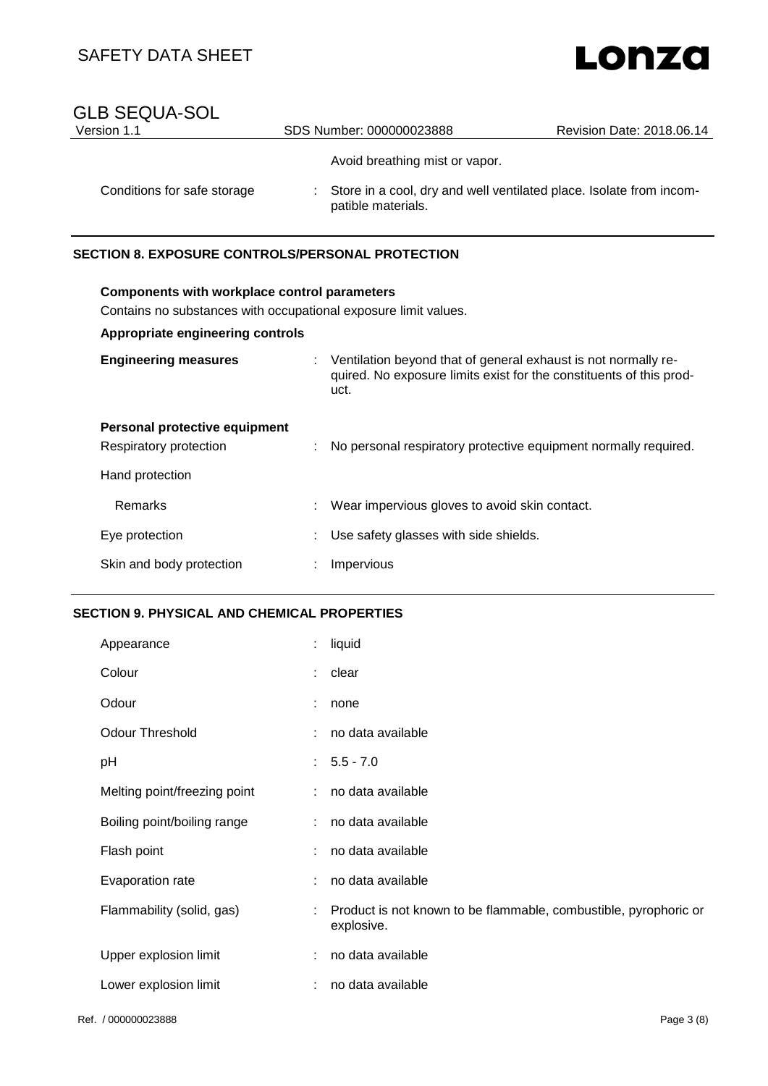# Lonza

### GLB SEQUA-SOL<br>Version 1.1 SDS Number: 000000023888 Revision Date: 2018.06.14 Avoid breathing mist or vapor. Conditions for safe storage : Store in a cool, dry and well ventilated place. Isolate from incompatible materials.

#### **SECTION 8. EXPOSURE CONTROLS/PERSONAL PROTECTION**

| <b>Components with workplace control parameters</b><br>Contains no substances with occupational exposure limit values.<br>Appropriate engineering controls |  |                                                                                                                                                 |  |
|------------------------------------------------------------------------------------------------------------------------------------------------------------|--|-------------------------------------------------------------------------------------------------------------------------------------------------|--|
| <b>Engineering measures</b>                                                                                                                                |  | : Ventilation beyond that of general exhaust is not normally re-<br>quired. No exposure limits exist for the constituents of this prod-<br>uct. |  |
| Personal protective equipment<br>Respiratory protection<br>Hand protection                                                                                 |  | No personal respiratory protective equipment normally required.                                                                                 |  |
| <b>Remarks</b>                                                                                                                                             |  | Wear impervious gloves to avoid skin contact.                                                                                                   |  |
| Eye protection                                                                                                                                             |  | Use safety glasses with side shields.                                                                                                           |  |
| Skin and body protection                                                                                                                                   |  | Impervious                                                                                                                                      |  |

#### **SECTION 9. PHYSICAL AND CHEMICAL PROPERTIES**

| Appearance                   |    | liquid                                                                         |
|------------------------------|----|--------------------------------------------------------------------------------|
| Colour                       | ÷. | clear                                                                          |
| Odour                        |    | none                                                                           |
| <b>Odour Threshold</b>       |    | no data available                                                              |
| рH                           |    | $: 5.5 - 7.0$                                                                  |
| Melting point/freezing point | ÷. | no data available                                                              |
| Boiling point/boiling range  | ÷. | no data available                                                              |
| Flash point                  | ÷. | no data available                                                              |
| Evaporation rate             | ÷. | no data available                                                              |
| Flammability (solid, gas)    | ÷  | Product is not known to be flammable, combustible, pyrophoric or<br>explosive. |
| Upper explosion limit        |    | no data available                                                              |
| Lower explosion limit        |    | no data available                                                              |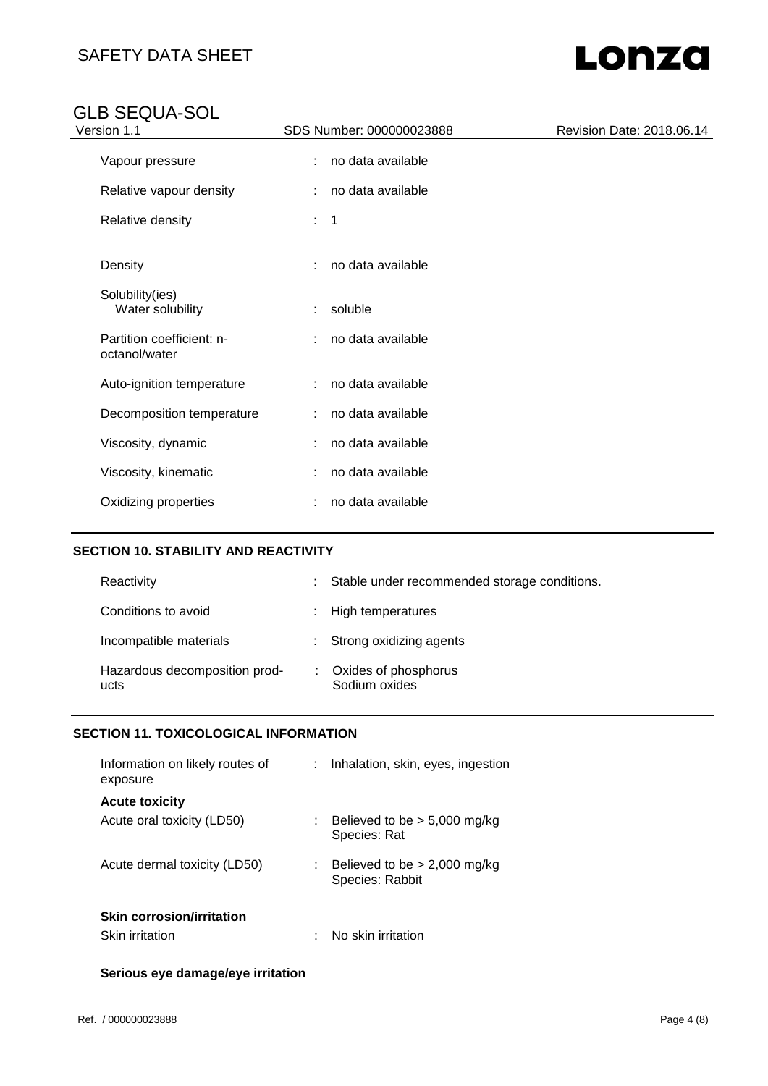# Lonza

### GLB SEQUA-SOL

| Version 1.1                                | SDS Number: 000000023888         | Revision Date: 2018.06.14 |
|--------------------------------------------|----------------------------------|---------------------------|
| Vapour pressure                            | no data available<br>÷.          |                           |
| Relative vapour density                    | no data available<br>÷.          |                           |
| Relative density                           | $\overline{\phantom{0}}$ 1<br>÷. |                           |
| Density                                    | no data available<br>÷.          |                           |
| Solubility(ies)<br>Water solubility        | soluble<br>÷.                    |                           |
| Partition coefficient: n-<br>octanol/water | no data available<br>÷.          |                           |
| Auto-ignition temperature                  | no data available<br>÷.          |                           |
| Decomposition temperature                  | no data available<br>÷.          |                           |
| Viscosity, dynamic                         | no data available                |                           |
| Viscosity, kinematic                       | no data available                |                           |
| Oxidizing properties                       | no data available                |                           |
|                                            |                                  |                           |

#### **SECTION 10. STABILITY AND REACTIVITY**

| Reactivity                            |    | : Stable under recommended storage conditions. |
|---------------------------------------|----|------------------------------------------------|
| Conditions to avoid                   |    | : High temperatures                            |
| Incompatible materials                |    | : Strong oxidizing agents                      |
| Hazardous decomposition prod-<br>ucts | ÷. | Oxides of phosphorus<br>Sodium oxides          |

#### **SECTION 11. TOXICOLOGICAL INFORMATION**

| Information on likely routes of<br>exposure | Inhalation, skin, eyes, ingestion                 |
|---------------------------------------------|---------------------------------------------------|
| <b>Acute toxicity</b>                       |                                                   |
| Acute oral toxicity (LD50)                  | Believed to be $> 5,000$ mg/kg<br>Species: Rat    |
| Acute dermal toxicity (LD50)                | Believed to be $> 2,000$ mg/kg<br>Species: Rabbit |
| <b>Skin corrosion/irritation</b>            |                                                   |
| <b>Skin irritation</b>                      | No skin irritation                                |

#### **Serious eye damage/eye irritation**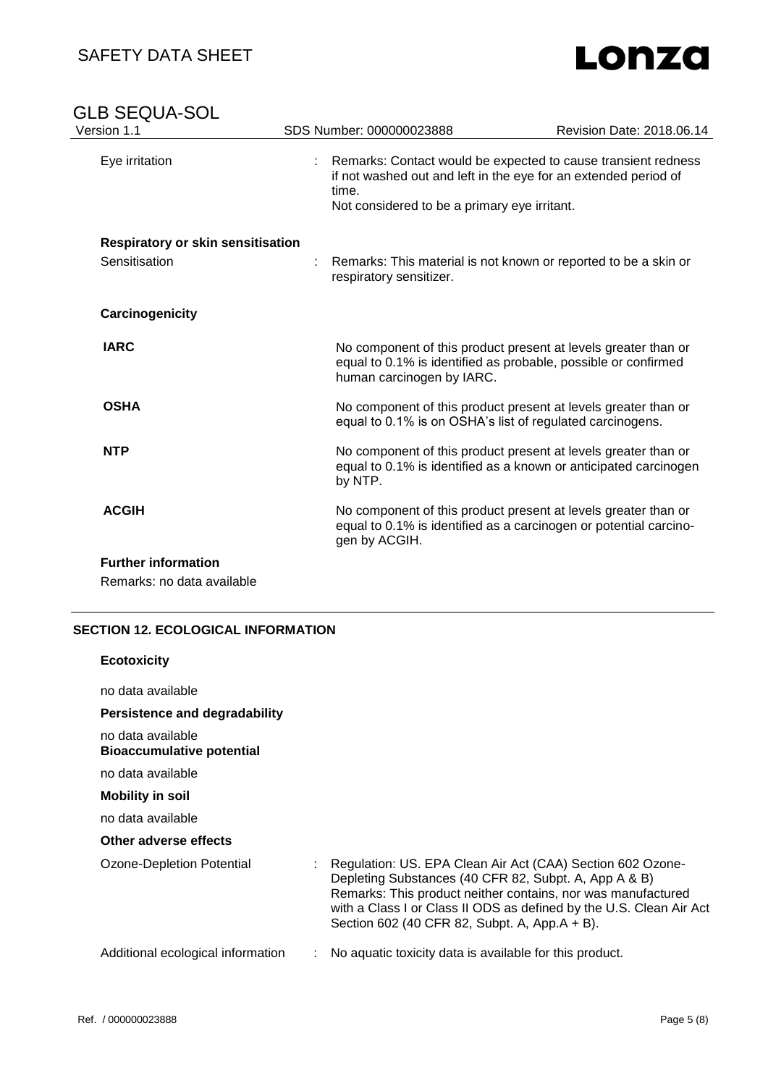### SAFETY DATA SHEET

# Lonza

| <b>GLB SEQUA-SOL</b><br>Version 1.1 | SDS Number: 000000023888  | Revision Date: 2018.06.14                                                                                                                                                        |
|-------------------------------------|---------------------------|----------------------------------------------------------------------------------------------------------------------------------------------------------------------------------|
| Eye irritation                      | ÷<br>time.                | Remarks: Contact would be expected to cause transient redness<br>if not washed out and left in the eye for an extended period of<br>Not considered to be a primary eye irritant. |
| Respiratory or skin sensitisation   |                           |                                                                                                                                                                                  |
| Sensitisation                       | respiratory sensitizer.   | Remarks: This material is not known or reported to be a skin or                                                                                                                  |
| Carcinogenicity                     |                           |                                                                                                                                                                                  |
| <b>IARC</b>                         | human carcinogen by IARC. | No component of this product present at levels greater than or<br>equal to 0.1% is identified as probable, possible or confirmed                                                 |
| <b>OSHA</b>                         |                           | No component of this product present at levels greater than or<br>equal to 0.1% is on OSHA's list of regulated carcinogens.                                                      |
| <b>NTP</b>                          | by NTP.                   | No component of this product present at levels greater than or<br>equal to 0.1% is identified as a known or anticipated carcinogen                                               |
| <b>ACGIH</b>                        | gen by ACGIH.             | No component of this product present at levels greater than or<br>equal to 0.1% is identified as a carcinogen or potential carcino-                                              |
| <b>Further information</b>          |                           |                                                                                                                                                                                  |
| Remarks: no data available          |                           |                                                                                                                                                                                  |

#### **SECTION 12. ECOLOGICAL INFORMATION**

| <b>Ecotoxicity</b>                                    |                                                                                                                                                                                                                                                                                                             |
|-------------------------------------------------------|-------------------------------------------------------------------------------------------------------------------------------------------------------------------------------------------------------------------------------------------------------------------------------------------------------------|
| no data available                                     |                                                                                                                                                                                                                                                                                                             |
| Persistence and degradability                         |                                                                                                                                                                                                                                                                                                             |
| no data available<br><b>Bioaccumulative potential</b> |                                                                                                                                                                                                                                                                                                             |
| no data available                                     |                                                                                                                                                                                                                                                                                                             |
| <b>Mobility in soil</b>                               |                                                                                                                                                                                                                                                                                                             |
| no data available                                     |                                                                                                                                                                                                                                                                                                             |
| Other adverse effects                                 |                                                                                                                                                                                                                                                                                                             |
| Ozone-Depletion Potential                             | Regulation: US. EPA Clean Air Act (CAA) Section 602 Ozone-<br>Depleting Substances (40 CFR 82, Subpt. A, App A & B)<br>Remarks: This product neither contains, nor was manufactured<br>with a Class I or Class II ODS as defined by the U.S. Clean Air Act<br>Section 602 (40 CFR 82, Subpt. A, App.A + B). |
| Additional ecological information                     | No aquatic toxicity data is available for this product.                                                                                                                                                                                                                                                     |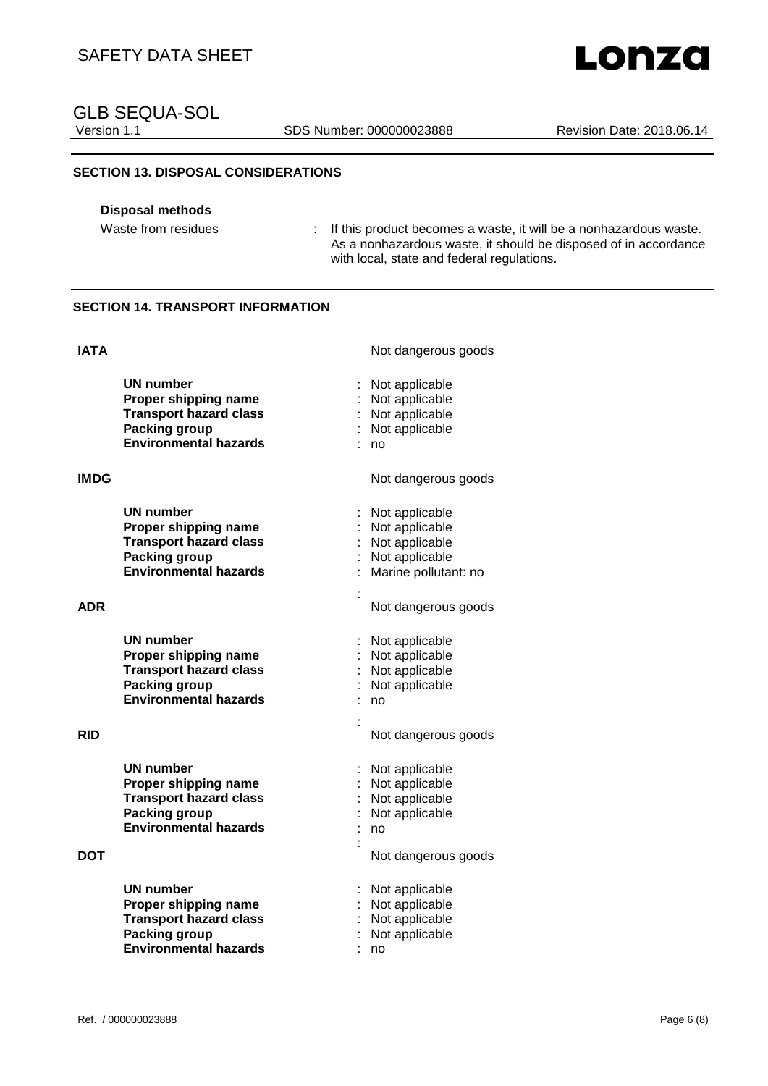SDS Number: 000000023888 Revision Date: 2018.06.14

#### **SECTION 13. DISPOSAL CONSIDERATIONS**

#### **Disposal methods**

Waste from residues : If this product becomes a waste, it will be a nonhazardous waste. As a nonhazardous waste, it should be disposed of in accordance with local, state and federal regulations.

#### **SECTION 14. TRANSPORT INFORMATION**

| <b>IATA</b> |                                                                                                                                   | Not dangerous goods                                                                          |
|-------------|-----------------------------------------------------------------------------------------------------------------------------------|----------------------------------------------------------------------------------------------|
|             | UN number<br>Proper shipping name<br><b>Transport hazard class</b><br><b>Packing group</b><br><b>Environmental hazards</b>        | Not applicable<br>Not applicable<br>Not applicable<br>Not applicable<br>no                   |
| <b>IMDG</b> |                                                                                                                                   | Not dangerous goods                                                                          |
|             | UN number<br>Proper shipping name<br><b>Transport hazard class</b><br><b>Packing group</b><br><b>Environmental hazards</b>        | Not applicable<br>Not applicable<br>Not applicable<br>Not applicable<br>Marine pollutant: no |
| <b>ADR</b>  |                                                                                                                                   | Not dangerous goods                                                                          |
|             | <b>UN number</b><br>Proper shipping name<br><b>Transport hazard class</b><br><b>Packing group</b><br><b>Environmental hazards</b> | Not applicable<br>Not applicable<br>Not applicable<br>Not applicable<br>no                   |
| <b>RID</b>  |                                                                                                                                   | Not dangerous goods                                                                          |
|             | <b>UN number</b><br>Proper shipping name<br><b>Transport hazard class</b><br><b>Packing group</b><br><b>Environmental hazards</b> | Not applicable<br>Not applicable<br>Not applicable<br>Not applicable<br>no                   |
| DOT         |                                                                                                                                   | Not dangerous goods                                                                          |
|             | UN number<br>Proper shipping name<br><b>Transport hazard class</b><br><b>Packing group</b><br><b>Environmental hazards</b>        | Not applicable<br>Not applicable<br>Not applicable<br>Not applicable<br>no                   |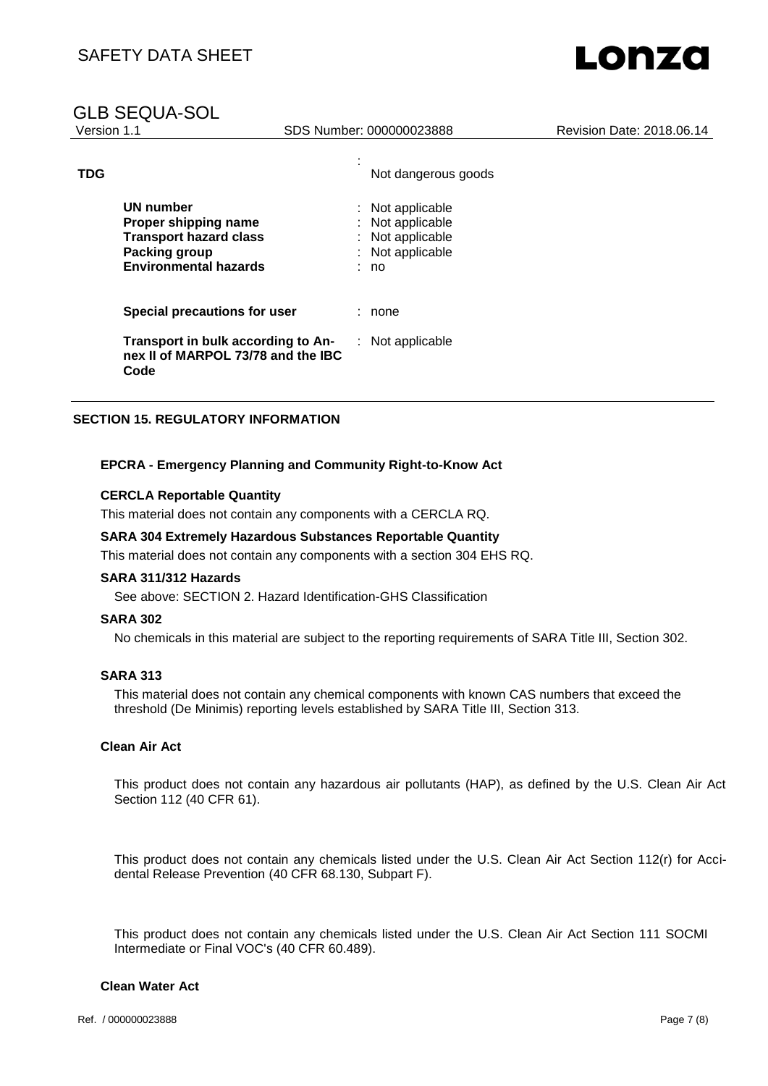#### GLB SEQUA-SOL

| Version 1.1 |                                                                                                                            | SDS Number: 000000023888                                                               | Revision Date: 2018.06.14 |
|-------------|----------------------------------------------------------------------------------------------------------------------------|----------------------------------------------------------------------------------------|---------------------------|
| <b>TDG</b>  |                                                                                                                            | Not dangerous goods                                                                    |                           |
|             | <b>UN number</b><br>Proper shipping name<br><b>Transport hazard class</b><br>Packing group<br><b>Environmental hazards</b> | : Not applicable<br>Not applicable<br>: Not applicable<br>: Not applicable<br>÷.<br>no |                           |
|             | Special precautions for user                                                                                               | : none                                                                                 |                           |
|             | Transport in bulk according to An-<br>nex II of MARPOL 73/78 and the IBC<br>Code                                           | : Not applicable                                                                       |                           |

#### **SECTION 15. REGULATORY INFORMATION**

#### **EPCRA - Emergency Planning and Community Right-to-Know Act**

#### **CERCLA Reportable Quantity**

This material does not contain any components with a CERCLA RQ.

#### **SARA 304 Extremely Hazardous Substances Reportable Quantity**

This material does not contain any components with a section 304 EHS RQ.

#### **SARA 311/312 Hazards**

See above: SECTION 2. Hazard Identification-GHS Classification

#### **SARA 302**

No chemicals in this material are subject to the reporting requirements of SARA Title III, Section 302.

#### **SARA 313**

This material does not contain any chemical components with known CAS numbers that exceed the threshold (De Minimis) reporting levels established by SARA Title III, Section 313.

#### **Clean Air Act**

This product does not contain any hazardous air pollutants (HAP), as defined by the U.S. Clean Air Act Section 112 (40 CFR 61).

This product does not contain any chemicals listed under the U.S. Clean Air Act Section 112(r) for Accidental Release Prevention (40 CFR 68.130, Subpart F).

This product does not contain any chemicals listed under the U.S. Clean Air Act Section 111 SOCMI Intermediate or Final VOC's (40 CFR 60.489).

#### **Clean Water Act**